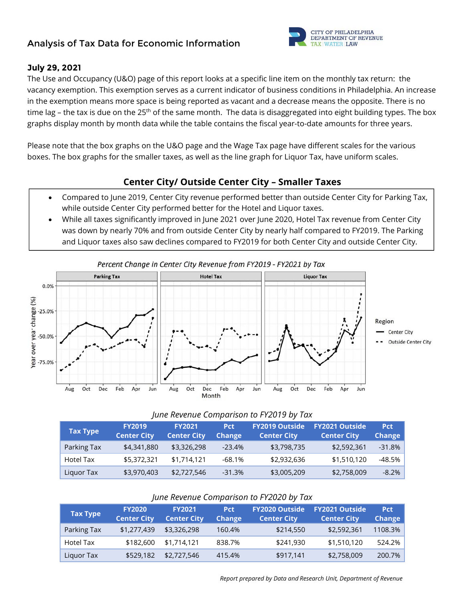# **Analysis of Tax Data for Economic Information**



### **July 29, 2021**

The Use and Occupancy (U&O) page of this report looks at a specific line item on the monthly tax return: the vacancy exemption. This exemption serves as a current indicator of business conditions in Philadelphia. An increase in the exemption means more space is being reported as vacant and a decrease means the opposite. There is no time lag – the tax is due on the 25<sup>th</sup> of the same month. The data is disaggregated into eight building types. The box graphs display month by month data while the table contains the fiscal year-to-date amounts for three years.

Please note that the box graphs on the U&O page and the Wage Tax page have different scales for the various boxes. The box graphs for the smaller taxes, as well as the line graph for Liquor Tax, have uniform scales.

## **Center City/ Outside Center City – Smaller Taxes**

- Compared to June 2019, Center City revenue performed better than outside Center City for Parking Tax, while outside Center City performed better for the Hotel and Liquor taxes.
- While all taxes significantly improved in June 2021 over June 2020, Hotel Tax revenue from Center City was down by nearly 70% and from outside Center City by nearly half compared to FY2019. The Parking and Liquor taxes also saw declines compared to FY2019 for both Center City and outside Center City.



#### *June Revenue Comparison to FY2019 by Tax*

| <b>Tax Type</b> | <b>FY2019</b><br><b>Center City</b> | <b>FY2021</b><br><b>Center City</b> | <b>Pct</b><br><b>Change</b> | <b>FY2019 Outside</b><br><b>Center City</b> | <b>FY2021 Outside</b><br><b>Center City</b> | <b>Pct</b><br><b>Change</b> |
|-----------------|-------------------------------------|-------------------------------------|-----------------------------|---------------------------------------------|---------------------------------------------|-----------------------------|
| Parking Tax     | \$4,341,880                         | \$3,326,298                         | $-23.4%$                    | \$3,798,735                                 | \$2,592,361                                 | $-31.8%$                    |
| Hotel Tax       | \$5,372,321                         | \$1,714,121                         | $-68.1\%$                   | \$2,932,636                                 | \$1,510,120                                 | -48.5%                      |
| Liguor Tax      | \$3,970,403                         | \$2,727,546                         | $-31.3%$                    | \$3,005,209                                 | \$2,758,009                                 | $-8.2\%$                    |

#### *June Revenue Comparison to FY2020 by Tax*

| <b>Tax Type</b> | <b>FY2020</b><br><b>Center City</b> | <b>FY2021</b><br><b>Center City</b> | <b>Pct</b><br><b>Change</b> | <b>FY2020 Outside</b><br><b>Center City</b> | <b>FY2021 Outside</b><br><b>Center City</b> | <b>Pct</b><br>Change |
|-----------------|-------------------------------------|-------------------------------------|-----------------------------|---------------------------------------------|---------------------------------------------|----------------------|
| Parking Tax     | \$1,277,439                         | \$3,326,298                         | 160.4%                      | \$214,550                                   | \$2,592,361                                 | 1108.3%              |
| Hotel Tax       | \$182,600                           | \$1,714,121                         | 838.7%                      | \$241,930                                   | \$1,510,120                                 | 524.2%               |
| Liquor Tax      | \$529,182                           | \$2,727,546                         | 415.4%                      | \$917.141                                   | \$2,758,009                                 | 200.7%               |

 *Report prepared by Data and Research Unit, Department of Revenue*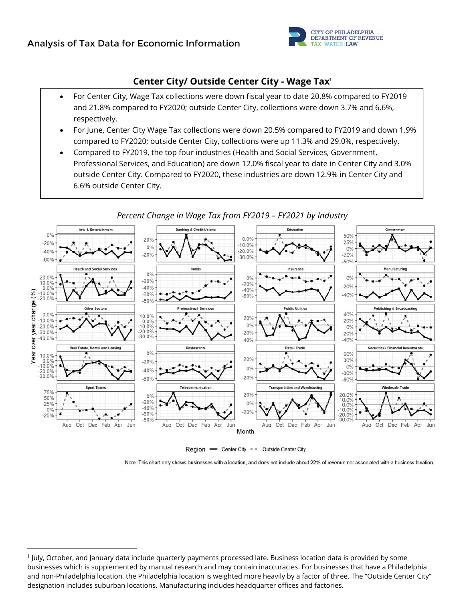

## **Center City/ Outside Center City - Wage Tax**<sup>1</sup>

- For Center City, Wage Tax collections were down fiscal year to date 20.8% compared to FY2019 and 21.8% compared to FY2020; outside Center City, collections were down 3.7% and 6.6%, respectively.
- For June, Center City Wage Tax collections were down 20.5% compared to FY2019 and down 1.9% compared to FY2020; outside Center City, collections were up 11.3% and 29.0%, respectively.
- Compared to FY2019, the top four industries (Health and Social Services, Government, Professional Services, and Education) are down 12.0% fiscal year to date in Center City and 3.0% outside Center City. Compared to FY2020, these industries are down 12.9% in Center City and 6.6% outside Center City.



*Percent Change in Wage Tax from FY2019 – FY2021 by Industry* 

Region - Center City - - Outside Center City

Note: This chart only shows businesses with a location, and does not include about 22% of revenue not associated with a business location.

<sup>1</sup> July, October, and January data include quarterly payments processed late. Business location data is provided by some businesses which is supplemented by manual research and may contain inaccuracies. For businesses that have a Philadelphia and non‐Philadelphia location, the Philadelphia location is weighted more heavily by a factor of three. The "Outside Center City" designation includes suburban locations. Manufacturing includes headquarter offices and factories.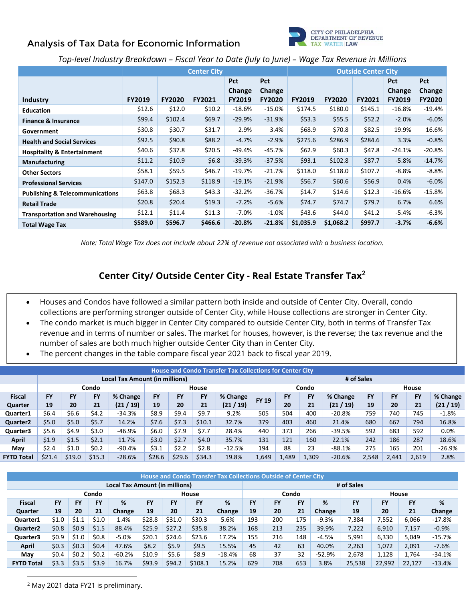# **Analysis of Tax Data for Economic Information**



### *Top-level Industry Breakdown – Fiscal Year to Date (July to June) – Wage Tax Revenue in Millions*

|                                            |               |               | <b>Center City</b> |               | <b>Outside Center City</b> |               |               |               |               |               |
|--------------------------------------------|---------------|---------------|--------------------|---------------|----------------------------|---------------|---------------|---------------|---------------|---------------|
|                                            |               |               |                    | <b>Pct</b>    | <b>Pct</b>                 |               |               |               | <b>Pct</b>    | <b>Pct</b>    |
|                                            |               |               |                    | Change        | Change                     |               |               |               | Change        | Change        |
| Industry                                   | <b>FY2019</b> | <b>FY2020</b> | <b>FY2021</b>      | <b>FY2019</b> | <b>FY2020</b>              | <b>FY2019</b> | <b>FY2020</b> | <b>FY2021</b> | <b>FY2019</b> | <b>FY2020</b> |
| <b>Education</b>                           | \$12.6        | \$12.0        | \$10.2\$           | $-18.6\%$     | $-15.0%$                   | \$174.5       | \$180.0       | \$145.1       | $-16.8\%$     | $-19.4\%$     |
| <b>Finance &amp; Insurance</b>             | \$99.4        | \$102.4       | \$69.7             | $-29.9%$      | $-31.9%$                   | \$53.3        | \$55.5        | \$52.2        | $-2.0%$       | $-6.0%$       |
| Government                                 | \$30.8        | \$30.7        | \$31.7             | 2.9%          | 3.4%                       | \$68.9        | \$70.8        | \$82.5        | 19.9%         | 16.6%         |
| <b>Health and Social Services</b>          | \$92.5        | \$90.8        | \$88.2             | $-4.7%$       | $-2.9%$                    | \$275.6       | \$286.9       | \$284.6       | 3.3%          | $-0.8%$       |
| <b>Hospitality &amp; Entertainment</b>     | \$40.6        | \$37.8        | \$20.5             | -49.4%        | -45.7%                     | \$62.9        | \$60.3\$      | \$47.8        | $-24.1%$      | $-20.8%$      |
| Manufacturing                              | \$11.2\$      | \$10.9        | \$6.8\$            | $-39.3%$      | $-37.5%$                   | \$93.1        | \$102.8       | \$87.7        | $-5.8%$       | $-14.7%$      |
| <b>Other Sectors</b>                       | \$58.1        | \$59.5        | \$46.7             | $-19.7%$      | $-21.7%$                   | \$118.0       | \$118.0       | \$107.7       | $-8.8\%$      | $-8.8%$       |
| <b>Professional Services</b>               | \$147.0       | \$152.3       | \$118.9            | $-19.1%$      | $-21.9%$                   | \$56.7        | \$60.6\$      | \$56.9        | 0.4%          | $-6.0\%$      |
| <b>Publishing &amp; Telecommunications</b> | \$63.8        | \$68.3        | \$43.3             | $-32.2%$      | $-36.7%$                   | \$14.7        | \$14.6        | \$12.3        | $-16.6%$      | $-15.8\%$     |
| <b>Retail Trade</b>                        | \$20.8\$      | \$20.4\$      | \$19.3\$           | $-7.2%$       | $-5.6%$                    | \$74.7        | \$74.7        | \$79.7        | 6.7%          | 6.6%          |
| <b>Transportation and Warehousing</b>      | \$12.1        | \$11.4        | \$11.3             | $-7.0%$       | $-1.0\%$                   | \$43.6        | \$44.0        | \$41.2        | -5.4%         | $-6.3%$       |
| <b>Total Wage Tax</b>                      | \$589.0       | \$596.7       | \$466.6            | $-20.8%$      | $-21.8%$                   | \$1,035.9     | \$1,068.2     | \$997.7       | $-3.7%$       | $-6.6%$       |

*Note: Total Wage Tax does not include about 22% of revenue not associated with a business location.* 

## **Center City/ Outside Center City - Real Estate Transfer Tax**<sup>2</sup>

- Houses and Condos have followed a similar pattern both inside and outside of Center City. Overall, condo collections are performing stronger outside of Center City, while House collections are stronger in Center City.
- The condo market is much bigger in Center City compared to outside Center City, both in terms of Transfer Tax revenue and in terms of number or sales. The market for houses, however, is the reverse; the tax revenue and the number of sales are both much higher outside Center City than in Center City.
- The percent changes in the table compare fiscal year 2021 back to fiscal year 2019.

|                                | <b>House and Condo Transfer Tax Collections for Center City</b> |           |           |           |           |        |              |            |              |       |           |          |       |           |           |          |
|--------------------------------|-----------------------------------------------------------------|-----------|-----------|-----------|-----------|--------|--------------|------------|--------------|-------|-----------|----------|-------|-----------|-----------|----------|
| Local Tax Amount (in millions) |                                                                 |           |           |           |           |        |              | # of Sales |              |       |           |          |       |           |           |          |
|                                |                                                                 |           | Condo     |           |           |        | <b>House</b> |            |              |       | Condo     |          |       |           | House     |          |
| <b>Fiscal</b>                  | <b>FY</b>                                                       | <b>FY</b> | <b>FY</b> | % Change  | <b>FY</b> | FY     | <b>FY</b>    | % Change   | <b>FY 19</b> | FY    | <b>FY</b> | % Change | FY    | <b>FY</b> | <b>FY</b> | % Change |
| Quarter                        | 19                                                              | 20        | 21        | (21 / 19) | 19        | 20     | 21           | (21/19)    |              | 20    | 21        | (21/19)  | 19    | 20        | 21        | (21/19)  |
| Quarter1                       | \$6.4                                                           | \$6.6     | \$4.2     | $-34.3%$  | \$8.9     | \$9.4  | \$9.7        | 9.2%       | 505          | 504   | 400       | $-20.8%$ | 759   | 740       | 745       | $-1.8%$  |
| Quarter <sub>2</sub>           | \$5.0                                                           | \$5.0     | \$5.7     | 14.2%     | \$7.6     | \$7.3  | \$10.1       | 32.7%      | 379          | 403   | 460       | 21.4%    | 680   | 667       | 794       | 16.8%    |
| Quarter3                       | \$5.6                                                           | \$4.9     | \$3.0     | $-46.9%$  | \$6.0     | \$7.9  | \$7.7        | 28.4%      | 440          | 373   | 266       | $-39.5%$ | 592   | 683       | 592       | 0.0%     |
| <b>April</b>                   | \$1.9                                                           | \$1.5     | \$2.1     | 11.7%     | \$3.0     | \$2.7  | \$4.0        | 35.7%      | 131          | 121   | 160       | 22.1%    | 242   | 186       | 287       | 18.6%    |
| May                            | \$2.4                                                           | \$1.0     | \$0.2     | $-90.4%$  | \$3.1     | \$2.2  | \$2.8        | $-12.5%$   | 194          | 88    | 23        | -88.1%   | 275   | 165       | 201       | $-26.9%$ |
| <b>FYTD Total</b>              | \$21.4                                                          | \$19.0    | \$15.3    | $-28.6%$  | \$28.6    | \$29.6 | \$34.3       | 19.8%      | 1,649        | 1,489 | 1,309     | $-20.6%$ | 2,548 | 2.441     | 2,619     | 2.8%     |

|                                | House and Condo Transfer Tax Collections Outside of Center City |         |           |          |           |           |           |          |                |     |           |          |           |        |           |          |
|--------------------------------|-----------------------------------------------------------------|---------|-----------|----------|-----------|-----------|-----------|----------|----------------|-----|-----------|----------|-----------|--------|-----------|----------|
| Local Tax Amount (in millions) |                                                                 |         |           |          |           |           |           |          | # of Sales     |     |           |          |           |        |           |          |
|                                |                                                                 |         | Condo     |          |           |           | House     |          | Condo<br>House |     |           |          |           |        |           |          |
| <b>Fiscal</b>                  | <b>FY</b>                                                       | FY      | <b>FY</b> | ℅        | <b>FY</b> | <b>FY</b> | <b>FY</b> | %        | <b>FY</b>      | FY  | <b>FY</b> | %        | <b>FY</b> | FY     | <b>FY</b> | %        |
| Quarter                        | 19                                                              | 20      | 21        | Change   | 19        | 20        | 21        | Change   | 19             | 20  | 21        | Change   | 19        | 20     | 21        | Change   |
| Quarter1                       | \$1.0                                                           | \$1.1   | \$1.0     | 1.4%     | \$28.8    | \$31.0    | \$30.3    | 5.6%     | 193            | 200 | 175       | $-9.3%$  | 7,384     | 7,552  | 6,066     | $-17.8%$ |
| Quarter <sub>2</sub>           | \$0.8\$                                                         | \$0.9   | \$1.5     | 88.4%    | \$25.9    | \$27.2    | \$35.8    | 38.2%    | 168            | 213 | 235       | 39.9%    | 7.222     | 6,910  | 7,157     | $-0.9%$  |
| Quarter3                       | \$0.9                                                           | \$1.0   | \$0.8     | $-5.0%$  | \$20.1    | \$24.6    | \$23.6    | 17.2%    | 155            | 216 | 148       | $-4.5%$  | 5,991     | 6,330  | 5,049     | $-15.7%$ |
| <b>April</b>                   | \$0.3                                                           | \$0.3   | \$0.4\$   | 47.6%    | \$8.2     | \$5.9     | \$9.5     | 15.5%    | 45             | 42  | 63        | 40.0%    | 2,263     | 1,072  | 2,091     | $-7.6%$  |
| May                            | \$0.4                                                           | \$0.2\$ | \$0.2\$   | $-60.2%$ | \$10.9    | \$5.6     | \$8.9     | $-18.4%$ | 68             | 37  | 32        | $-52.9%$ | 2.678     | 1,128  | 1.764     | $-34.1%$ |
| <b>FYTD Total</b>              | \$3.3                                                           | \$3.5   | \$3.9     | 16.7%    | \$93.9    | \$94.2    | \$108.1   | 15.2%    | 629            | 708 | 653       | 3.8%     | 25,538    | 22,992 | 22,127    | $-13.4%$ |

 2 May 2021 data FY21 is preliminary.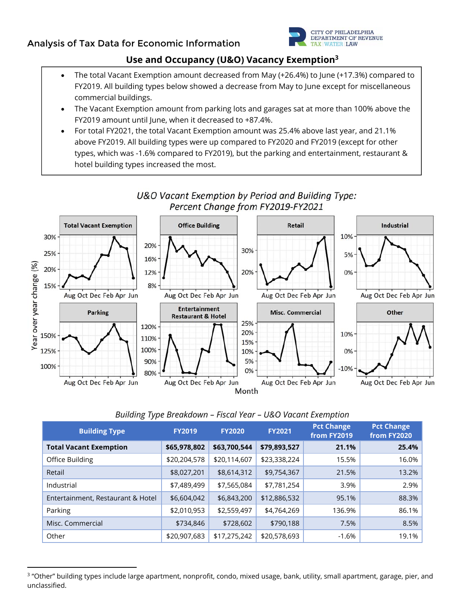

# **Use and Occupancy (U&O) Vacancy Exemption3**

- The total Vacant Exemption amount decreased from May (+26.4%) to June (+17.3%) compared to FY2019. All building types below showed a decrease from May to June except for miscellaneous commercial buildings.
- The Vacant Exemption amount from parking lots and garages sat at more than 100% above the FY2019 amount until June, when it decreased to +87.4%.
- For total FY2021, the total Vacant Exemption amount was 25.4% above last year, and 21.1% above FY2019. All building types were up compared to FY2020 and FY2019 (except for other types, which was -1.6% compared to FY2019), but the parking and entertainment, restaurant & hotel building types increased the most.



## U&O Vacant Exemption by Period and Building Type: Percent Change from FY2019-FY2021

### *Building Type Breakdown – Fiscal Year – U&O Vacant Exemption*

| <b>Building Type</b>              | <b>FY2019</b> | <b>FY2020</b> | <b>FY2021</b> | <b>Pct Change</b><br>from FY2019 | <b>Pct Change</b><br>from FY2020 |
|-----------------------------------|---------------|---------------|---------------|----------------------------------|----------------------------------|
| <b>Total Vacant Exemption</b>     | \$65,978,802  | \$63,700,544  | \$79,893,527  | 21.1%                            | 25.4%                            |
| Office Building                   | \$20,204,578  | \$20,114,607  | \$23,338,224  | 15.5%                            | 16.0%                            |
| Retail                            | \$8,027,201   | \$8,614,312   | \$9,754,367   | 21.5%                            | 13.2%                            |
| Industrial                        | \$7,489,499   | \$7,565,084   | \$7,781,254   | 3.9%                             | 2.9%                             |
| Entertainment, Restaurant & Hotel | \$6,604,042   | \$6,843,200   | \$12,886,532  | 95.1%                            | 88.3%                            |
| Parking                           | \$2,010,953   | \$2,559,497   | \$4,764,269   | 136.9%                           | 86.1%                            |
| Misc. Commercial                  | \$734,846     | \$728,602     | \$790,188     | 7.5%                             | 8.5%                             |
| Other                             | \$20,907,683  | \$17,275,242  | \$20,578,693  | $-1.6%$                          | 19.1%                            |

<sup>&</sup>lt;sup>3</sup> "Other" building types include large apartment, nonprofit, condo, mixed usage, bank, utility, small apartment, garage, pier, and unclassified.